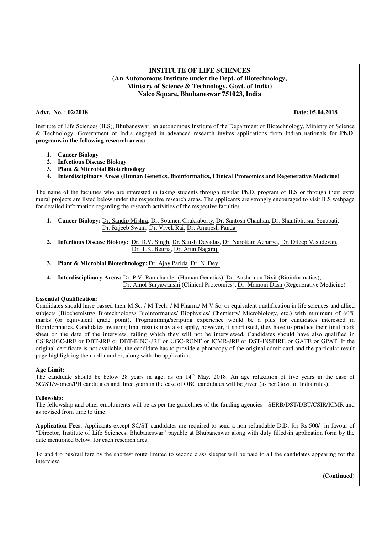# **INSTITUTE OF LIFE SCIENCES (An Autonomous Institute under the Dept. of Biotechnology, Ministry of Science & Technology, Govt. of India) Nalco Square, Bhubaneswar 751023, India**

### **Advt. No. : 02/2018 Date: 05.04.2018**

Institute of Life Sciences (ILS), Bhubaneswar, an autonomous Institute of the Department of Biotechnology, Ministry of Science & Technology, Government of India engaged in advanced research invites applications from Indian nationals for **Ph.D. programs in the following research areas:** 

- **1. Cancer Biology**
- **2. Infectious Disease Biology**
- **3. Plant & Microbial Biotechnology**
- **4. Interdisciplinary Areas (Human Genetics, Bioinformatics, Clinical Proteomics and Regenerative Medicine)**

The name of the faculties who are interested in taking students through regular Ph.D. program of ILS or through their extra mural projects are listed below under the respective research areas. The applicants are strongly encouraged to visit ILS webpage for detailed information regarding the research activities of the respective faculties.

- **1. Cancer Biology:** [Dr. Sandip Mishra,](https://www.ils.res.in/staff-ils/?page_id=316&title=Dr.%20Sandip%20K.%20Mishra) [Dr. Soumen Chakraborty,](https://www.ils.res.in/staff-ils/?page_id=316&title=Dr.%20Soumen%20Chakraborty) [Dr. Santosh Chauhan,](https://www.ils.res.in/staff-ils/?page_id=316&title=Dr.%20Santosh%20Chauhan) [Dr. Shantibhusan Senapati,](https://www.ils.res.in/staff-ils/?page_id=316&title=Dr.%20Shantibhusan%20Senapati) [Dr. Rajeeb Swain,](https://www.ils.res.in/staff-ils/?page_id=316&title=Dr.%20Rajeeb%20Swain) [Dr. Vivek Rai,](https://www.ils.res.in/staff-ils/?page_id=316&title=Dr.%20Vivek%20Rai) [Dr. Amaresh Panda](https://www.ils.res.in/staff-ils/?page_id=316&title=Dr.%20Amaresh%20Chandra%20Panda)
- **2. Infectious Disease Biology:** [Dr. D.V. Singh,](https://www.ils.res.in/staff-ils/?page_id=316&title=Dr.%20Durg%20Vijai%20Singh) [Dr. Satish Devadas,](https://www.ils.res.in/staff-ils/?page_id=316&title=Dr.%20Satish%20Devadas) [Dr. Narottam Acharya,](https://www.ils.res.in/staff-ils/?page_id=316&title=Dr.%20Narottam%20Acharya) [Dr. Dileep Vasudevan,](https://www.ils.res.in/staff-ils/?page_id=316&title=Dr.%20Dileep%20Vasudevan) [Dr. T.K. Beuria,](https://www.ils.res.in/staff-ils/?page_id=316&title=Dr.%20Tushar%20Kanti%20Beuria) [Dr. Arun Nagaraj](https://www.ils.res.in/staff-ils/?page_id=316&title=Dr.%20V.%20Arun%20Nagaraj)
- **3. Plant & Microbial Biotechnology:** [Dr. Ajay Parida,](https://www.ils.res.in/staff-ils/?page_id=316&title=Dr.%20Ajay%20Parida) [Dr. N. Dey](https://www.ils.res.in/staff-ils/?page_id=316&title=Dr.%20Nrisingha%20Dey)
- **4. Interdisciplinary Areas:** [Dr. P.V. Ramchander](https://www.ils.res.in/staff-ils/?page_id=316&title=Dr.%20P.V.%20Ramchander) (Human Genetics), [Dr. Anshuman Dixit](https://www.ils.res.in/staff-ils/?page_id=316&title=Dr.%20Anshuman%20Dixit) (Bioinformatics), [Dr. Amol Suryawanshi](https://www.ils.res.in/staff-ils/?page_id=316&title=Dr.%20Amol%20Ratnakar%20Suryawanshi) (Clinical Proteomics), [Dr. Mamoni Dash](https://www.ils.res.in/staff-ils/?page_id=316&title=Dr.%20Mamoni%20Dash) (Regenerative Medicine)

#### **Essential Qualification**:

Candidates should have passed their M.Sc. / M.Tech. / M.Pharm./ M.V.Sc. or equivalent qualification in life sciences and allied subjects (Biochemistry/ Biotechnology/ Bioinformatics/ Biophysics/ Chemistry/ Microbiology, etc.) with minimum of 60% marks (or equivalent grade point). Programming/scripting experience would be a plus for candidates interested in Bioinformatics. Candidates awaiting final results may also apply, however, if shortlisted, they have to produce their final mark sheet on the date of the interview, failing which they will not be interviewed. Candidates should have also qualified in CSIR/UGC-JRF or DBT-JRF or DBT-BINC-JRF or UGC-RGNF or ICMR-JRF or DST-INSPIRE or GATE or GPAT. If the original certificate is not available, the candidate has to provide a photocopy of the original admit card and the particular result page highlighting their roll number, along with the application.

#### **Age Limit:**

The candidate should be below 28 years in age, as on  $14<sup>th</sup>$  May, 2018. An age relaxation of five years in the case of SC/ST/women/PH candidates and three years in the case of OBC candidates will be given (as per Govt. of India rules).

#### **Fellowship:**

The fellowship and other emoluments will be as per the guidelines of the funding agencies - SERB/DST/DBT/CSIR/ICMR and as revised from time to time.

**Application Fees**: Applicants except SC/ST candidates are required to send a non-refundable D.D. for Rs.500/- in favour of "Director, Institute of Life Sciences, Bhubaneswar" payable at Bhubaneswar along with duly filled-in application form by the date mentioned below, for each research area.

To and fro bus/rail fare by the shortest route limited to second class sleeper will be paid to all the candidates appearing for the interview.

 **(Continued)**